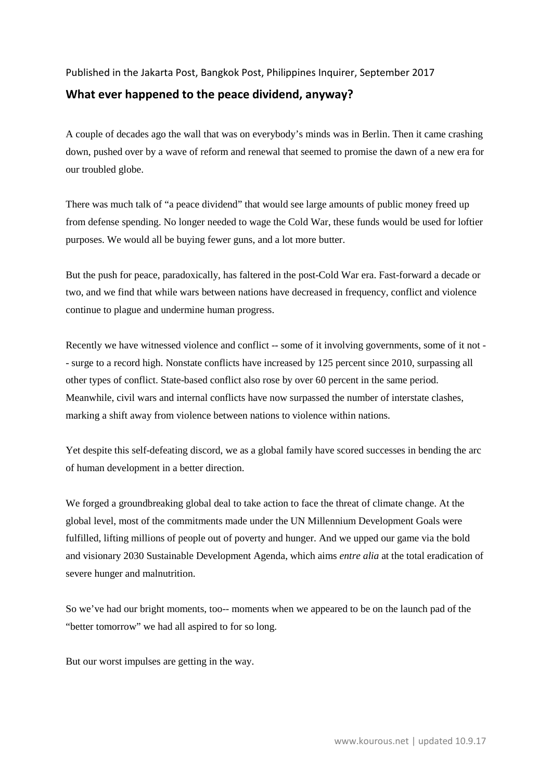## Published in the Jakarta Post, Bangkok Post, Philippines Inquirer, September 2017 **What ever happened to the peace dividend, anyway?**

A couple of decades ago the wall that was on everybody's minds was in Berlin. Then it came crashing down, pushed over by a wave of reform and renewal that seemed to promise the dawn of a new era for our troubled globe.

There was much talk of "a peace dividend" that would see large amounts of public money freed up from defense spending. No longer needed to wage the Cold War, these funds would be used for loftier purposes. We would all be buying fewer guns, and a lot more butter.

But the push for peace, paradoxically, has faltered in the post-Cold War era. Fast-forward a decade or two, and we find that while wars between nations have decreased in frequency, conflict and violence continue to plague and undermine human progress.

Recently we have witnessed violence and conflict -- some of it involving governments, some of it not -- surge to a record high. Nonstate conflicts have increased by 125 percent since 2010, surpassing all other types of conflict. State-based conflict also rose by over 60 percent in the same period. Meanwhile, civil wars and internal conflicts have now surpassed the number of interstate clashes, marking a shift away from violence between nations to violence within nations.

Yet despite this self-defeating discord, we as a global family have scored successes in bending the arc of human development in a better direction.

We forged a groundbreaking global deal to take action to face the threat of climate change. At the global level, most of the commitments made under the UN Millennium Development Goals were fulfilled, lifting millions of people out of poverty and hunger. And we upped our game via the bold and visionary 2030 Sustainable Development Agenda, which aims *entre alia* at the total eradication of severe hunger and malnutrition.

So we've had our bright moments, too-- moments when we appeared to be on the launch pad of the "better tomorrow" we had all aspired to for so long.

But our worst impulses are getting in the way.